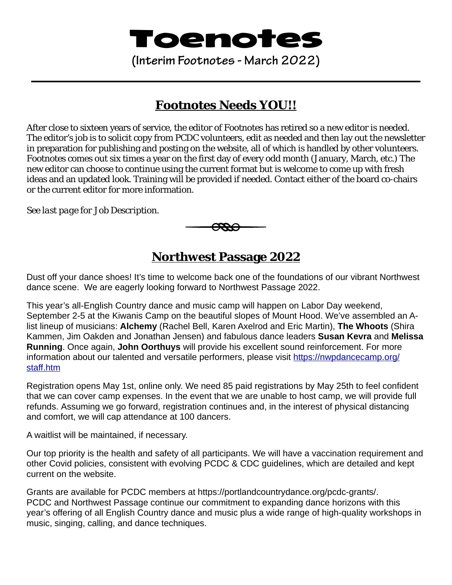# Toenotes

**(Interim Footnotes - March 2022)**

## **Footnotes Needs YOU!!**

After close to sixteen years of service, the editor of *Footnotes* has retired so a new editor is needed. The editor's job is to solicit copy from PCDC volunteers, edit as needed and then lay out the newsletter in preparation for publishing and posting on the website, all of which is handled by other volunteers. *Footnotes* comes out six times a year on the first day of every odd month (January, March, etc.) The new editor can choose to continue using the current format but is welcome to come up with fresh ideas and an updated look. Training will be provided if needed. Contact either of the board co-chairs or the current editor for more information.

*See last page for Job Description.* 



**Northwest Passage 2022**

Dust off your dance shoes! It's time to welcome back one of the foundations of our vibrant Northwest dance scene. We are eagerly looking forward to Northwest Passage 2022.

This year's all-English Country dance and music camp will happen on Labor Day weekend, September 2-5 at the Kiwanis Camp on the beautiful slopes of Mount Hood. We've assembled an Alist lineup of musicians: **Alchemy** (Rachel Bell, Karen Axelrod and Eric Martin), **The Whoots** (Shira Kammen, Jim Oakden and Jonathan Jensen) and fabulous dance leaders **Susan Kevra** and **Melissa Running**. Once again, **John Oorthuys** will provide his excellent sound reinforcement. For more information about our talented and versatile performers, please visit [https://nwpdancecamp.org/](https://nwpdancecamp.org/staff.htm) [staff.htm](https://nwpdancecamp.org/staff.htm)

Registration opens May 1st, online only. We need 85 paid registrations by May 25th to feel confident that we can cover camp expenses. In the event that we are unable to host camp, we will provide full refunds. Assuming we go forward, registration continues and, in the interest of physical distancing and comfort, we will cap attendance at 100 dancers.

A waitlist will be maintained, if necessary.

Our top priority is the health and safety of all participants. We will have a vaccination requirement and other Covid policies, consistent with evolving PCDC & CDC guidelines, which are detailed and kept current on the website.

Grants are available for PCDC members at [https://portlandcountrydance.org/pcdc-grants/.](https://portlandcountrydance.org/pcdc-grants/) PCDC and Northwest Passage continue our commitment to expanding dance horizons with this year's offering of all English Country dance and music plus a wide range of high-quality workshops in music, singing, calling, and dance techniques.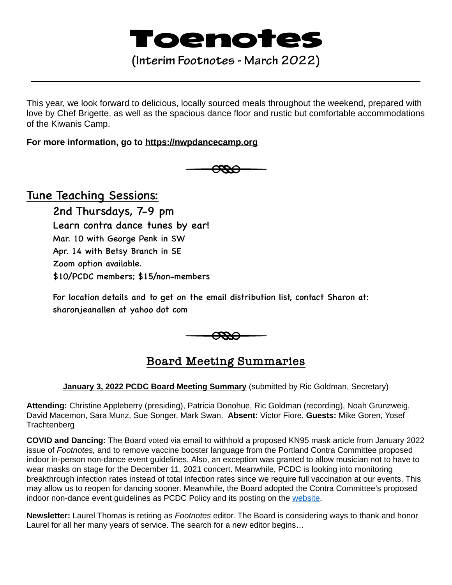# Toenotes

## **(Interim Footnotes - March 2022)**

This year, we look forward to delicious, locally sourced meals throughout the weekend, prepared with love by Chef Brigette, as well as the spacious dance floor and rustic but comfortable accommodations of the Kiwanis Camp.

### **For more information, go to <https://nwpdancecamp.org>**



## Tune Teaching Sessions:

 2nd Thursdays, 7-9 pm Learn contra dance tunes by ear! Mar. 10 with George Penk in SW Apr. 14 with Betsy Branch in SE Zoom option available. \$10/PCDC members; \$15/non-members

 For location details and to get on the email distribution list, contact Sharon at: sharonjeanallen at yahoo dot com



## **Board Meeting Summaries**

### **January 3, 2022 PCDC Board Meeting Summary** (submitted by Ric Goldman, Secretary)

**Attending:** Christine Appleberry (presiding), Patricia Donohue, Ric Goldman (recording), Noah Grunzweig, David Macemon, Sara Munz, Sue Songer, Mark Swan. **Absent:** Victor Fiore. **Guests:** Mike Goren, Yosef **Trachtenberg** 

**COVID and Dancing:** The Board voted via email to withhold a proposed KN95 mask article from January 2022 issue of *Footnotes,* and to remove vaccine booster language from the Portland Contra Committee proposed indoor in-person non-dance event guidelines. Also, an exception was granted to allow musician not to have to wear masks on stage for the December 11, 2021 concert. Meanwhile, PCDC is looking into monitoring breakthrough infection rates instead of total infection rates since we require full vaccination at our events. This may allow us to reopen for dancing sooner. Meanwhile, the Board adopted the Contra Committee's proposed indoor non-dance event guidelines as PCDC Policy and its posting on the [website](https://portlandcountrydance.org/wp-content/uploads/2022/01/2022-01-25-PCDC-COVID-indoor-event-policy-for-website-1.pdf).

**Newsletter:** Laurel Thomas is retiring as *Footnotes* editor. The Board is considering ways to thank and honor Laurel for all her many years of service. The search for a new editor begins…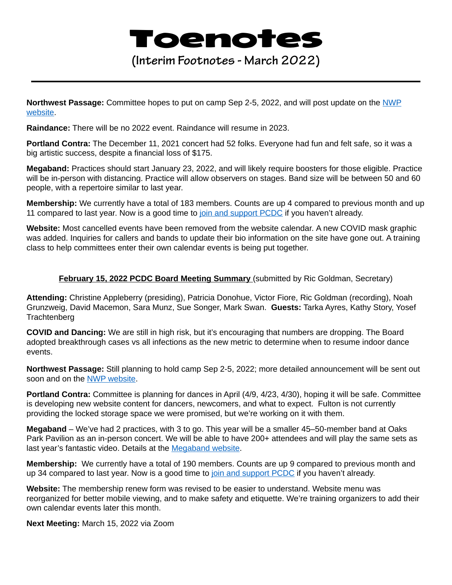# Toenotes

**(Interim Footnotes - March 2022)**

**Northwest Passage:** Committee hopes to put on camp Sep 2-5, 2022, and will post update on the [NWP](https://nwpdancecamp.org/)  [website](https://nwpdancecamp.org/).

**Raindance:** There will be no 2022 event. Raindance will resume in 2023.

**Portland Contra:** The December 11, 2021 concert had 52 folks. Everyone had fun and felt safe, so it was a big artistic success, despite a financial loss of \$175.

**Megaband:** Practices should start January 23, 2022, and will likely require boosters for those eligible. Practice will be in-person with distancing. Practice will allow observers on stages. Band size will be between 50 and 60 people, with a repertoire similar to last year.

**Membership:** We currently have a total of 183 members. Counts are up 4 compared to previous month and up 11 compared to last year. Now is a good time to [join and support PCDC](https://portlandcountrydance.org/membership) if you haven't already.

**Website:** Most cancelled events have been removed from the website calendar. A new COVID mask graphic was added. Inquiries for callers and bands to update their bio information on the site have gone out. A training class to help committees enter their own calendar events is being put together.

### **February 15, 2022 PCDC Board Meeting Summary** (submitted by Ric Goldman, Secretary)

**Attending:** Christine Appleberry (presiding), Patricia Donohue, Victor Fiore, Ric Goldman (recording), Noah Grunzweig, David Macemon, Sara Munz, Sue Songer, Mark Swan. **Guests:** Tarka Ayres, Kathy Story, Yosef **Trachtenberg** 

**COVID and Dancing:** We are still in high risk, but it's encouraging that numbers are dropping. The Board adopted breakthrough cases vs all infections as the new metric to determine when to resume indoor dance events.

**Northwest Passage:** Still planning to hold camp Sep 2-5, 2022; more detailed announcement will be sent out soon and on the [NWP website.](https://nwpdancecamp.org/)

**Portland Contra:** Committee is planning for dances in April (4/9, 4/23, 4/30), hoping it will be safe. Committee is developing new website content for dancers, newcomers, and what to expect. Fulton is not currently providing the locked storage space we were promised, but we're working on it with them.

**Megaband** – We've had 2 practices, with 3 to go. This year will be a smaller 45–50-member band at Oaks Park Pavilion as an in-person concert. We will be able to have 200+ attendees and will play the same sets as last year's fantastic video. Details at the [Megaband website.](https://www.portlandmegaband.com/)

**Membership:** We currently have a total of 190 members. Counts are up 9 compared to previous month and up 34 compared to last year. Now is a good time to [join and support PCDC](https://portlandcountrydance.org/membership) if you haven't already.

**Website:** The membership renew form was revised to be easier to understand. Website menu was reorganized for better mobile viewing, and to make safety and etiquette. We're training organizers to add their own calendar events later this month.

**Next Meeting:** March 15, 2022 via Zoom